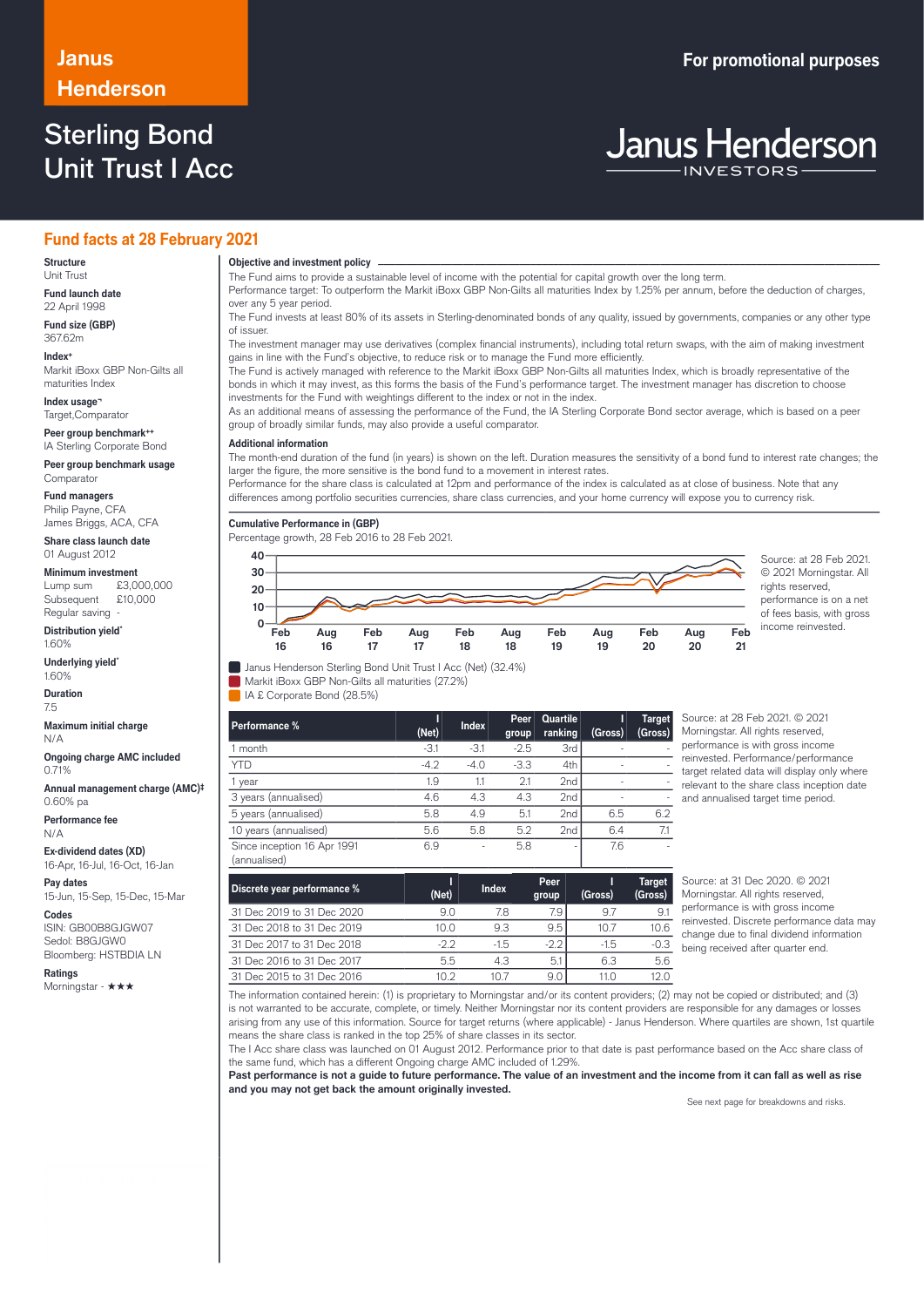## **Henderson**

### Sterling Bond Unit Trust I Acc

### **Janus For promotional purposes**

# **Janus Henderson**

### **Fund facts at 28 February 2021**

#### **Structure** Unit Trust

**Fund launch date** 22 April 1998

**Fund size (GBP)** 367.62m

**Index+** Markit iBoxx GBP Non-Gilts all maturities Index

**Index usage¬** Target,Comparator

**Peer group benchmark++** IA Sterling Corporate Bond

**Peer group benchmark usage** Comparator

**Fund managers** Philip Payne, CFA James Briggs, ACA, CFA

**Share class launch date** 01 August 2012

**Minimum investment**<br>Lump sum £3,000,000 Lump sum Subsequent £10,000

Regular saving **Distribution yield\***

1.60%

**Underlying yield\*** 1.60%

**Duration** 7.5

**Maximum initial charge** N/A

**Ongoing charge AMC included** 0.71%

**Annual management charge (AMC)‡** 0.60% pa

**Performance fee** N/A

**Ex-dividend dates (XD)** 16-Apr, 16-Jul, 16-Oct, 16-Jan

**Pay dates** 15-Jun, 15-Sep, 15-Dec, 15-Mar

**Codes** ISIN: GB00B8GJGW07 Sedol: B8GJGW0 Bloomberg: HSTBDIA LN

**Ratings**

Morningstar - ★★★

**Objective and investment policy** ────────────────────────────────────────────────────────────────────────────────────────────────────────────────────────────────────────────────────────────────────────────────────────────────────────────────────────────────────────────────────────────────────────────────────────────────────────────────────────────────────────────────────────────────────────────────────────────────────────────────────────────────────────────────────────────────────────────────────────────────────────────────────

The Fund aims to provide a sustainable level of income with the potential for capital growth over the long term.

Performance target: To outperform the Markit iBoxx GBP Non-Gilts all maturities Index by 1.25% per annum, before the deduction of charges, over any 5 year period.

The Fund invests at least 80% of its assets in Sterling-denominated bonds of any quality, issued by governments, companies or any other type of issuer.

The investment manager may use derivatives (complex financial instruments), including total return swaps, with the aim of making investment gains in line with the Fund's objective, to reduce risk or to manage the Fund more efficiently.

The Fund is actively managed with reference to the Markit iBoxx GBP Non-Gilts all maturities Index, which is broadly representative of the bonds in which it may invest, as this forms the basis of the Fund's performance target. The investment manager has discretion to choose investments for the Fund with weightings different to the index or not in the index.

As an additional means of assessing the performance of the Fund, the IA Sterling Corporate Bond sector average, which is based on a peer group of broadly similar funds, may also provide a useful comparator.

### **Additional information**

The month-end duration of the fund (in years) is shown on the left. Duration measures the sensitivity of a bond fund to interest rate changes; the larger the figure, the more sensitive is the bond fund to a movement in interest rates.

Performance for the share class is calculated at 12pm and performance of the index is calculated as at close of business. Note that any differences among portfolio securities currencies, share class currencies, and your home currency will expose you to currency risk.

**Cumulative Performance in (GBP)**

Percentage growth, 28 Feb 2016 to 28 Feb 2021.



© 2021 Morningstar. All rights reserved, performance is on a net of fees basis, with gross income reinvested.

**Janus Henderson Sterling Bond Unit Trust I Acc (Net) (32.4%)** 

Markit iBoxx GBP Non-Gilts all maturities (27.2%)

IA £ Corporate Bond (28.5%)

| Performance %                               | (Net)  | <b>Index</b> | Peer<br>group | Quartile<br>ranking | (Gross) | <b>Target</b><br>(Gross) |
|---------------------------------------------|--------|--------------|---------------|---------------------|---------|--------------------------|
| l month                                     | $-3.1$ | $-3.1$       | $-2.5$        | 3rd                 | ۰       |                          |
| <b>YTD</b>                                  | $-4.2$ | $-4.0$       | $-3.3$        | 4th                 |         |                          |
| year                                        | 1.9    | 1.1          | 2.1           | 2 <sub>nd</sub>     | ۰       |                          |
| 3 years (annualised)                        | 4.6    | 4.3          | 4.3           | 2 <sub>nd</sub>     | ۰       |                          |
| 5 years (annualised)                        | 5.8    | 4.9          | 5.1           | 2nd                 | 6.5     | 6.2                      |
| 10 years (annualised)                       | 5.6    | 5.8          | 5.2           | 2nd                 | 6.4     | 7.1                      |
| Since inception 16 Apr 1991<br>(annualised) | 6.9    | ٠            | 5.8           | ٠                   | 7.6     |                          |

Source: at 28 Feb 2021. © 2021 Morningstar. All rights reserved, performance is with gross income reinvested. Performance/performance target related data will display only where relevant to the share class inception date and annualised target time period.

| Discrete year performance % | (Net) | <b>Index</b> | Peer<br>group | (Gross) | <b>Target</b><br>(Gross) |
|-----------------------------|-------|--------------|---------------|---------|--------------------------|
| 31 Dec 2019 to 31 Dec 2020  | 9.0   | 7.8          | 7.9           | 9.7     | -9.ì                     |
| 31 Dec 2018 to 31 Dec 2019  | 10.0  | 9.3          | 9.5           | 10.7    | 10.6                     |
| 31 Dec 2017 to 31 Dec 2018  | -22   | $-1.5$       | $-2.2$        | $-1.5$  | $-0.3$                   |
| 31 Dec 2016 to 31 Dec 2017  | 5.5   | 4.3          | 5.1           | 6.3     | 5.6                      |
| 31 Dec 2015 to 31 Dec 2016  | 1N 2  | 10 7         | 9.0           | 11.0    | 12.0                     |

Source: at 31 Dec 2020. © 2021 Morningstar. All rights reserved, performance is with gross income reinvested. Discrete performance data may change due to final dividend information being received after quarter end.

The information contained herein: (1) is proprietary to Morningstar and/or its content providers; (2) may not be copied or distributed; and (3) is not warranted to be accurate, complete, or timely. Neither Morningstar nor its content providers are responsible for any damages or losses arising from any use of this information. Source for target returns (where applicable) - Janus Henderson. Where quartiles are shown, 1st quartile means the share class is ranked in the top 25% of share classes in its sector.

The I Acc share class was launched on 01 August 2012. Performance prior to that date is past performance based on the Acc share class of the same fund, which has a different Ongoing charge AMC included of 1.29%.

**Past performance is not a guide to future performance. The value of an investment and the income from it can fall as well as rise and you may not get back the amount originally invested.**

See next page for breakdowns and risks.